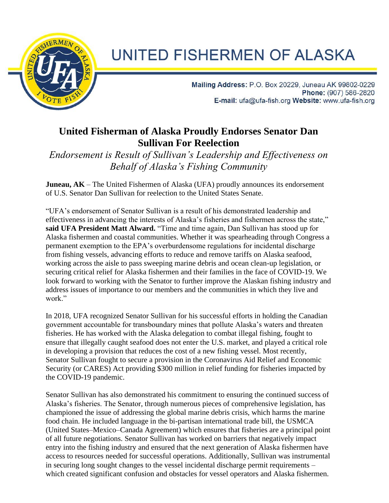

## UNITED FISHERMEN OF ALASKA

Mailing Address: P.O. Box 20229, Juneau AK 99802-0229 Phone: (907) 586-2820 E-mail: ufa@ufa-fish.org Website: www.ufa-fish.org

## **United Fisherman of Alaska Proudly Endorses Senator Dan Sullivan For Reelection**

*Endorsement is Result of Sullivan's Leadership and Effectiveness on Behalf of Alaska's Fishing Community*

**Juneau, AK** – The United Fishermen of Alaska (UFA) proudly announces its endorsement of U.S. Senator Dan Sullivan for reelection to the United States Senate.

"UFA's endorsement of Senator Sullivan is a result of his demonstrated leadership and effectiveness in advancing the interests of Alaska's fisheries and fishermen across the state," **said UFA President Matt Alward.** "Time and time again, Dan Sullivan has stood up for Alaska fishermen and coastal communities. Whether it was spearheading through Congress a permanent exemption to the EPA's overburdensome regulations for incidental discharge from fishing vessels, advancing efforts to reduce and remove tariffs on Alaska seafood, working across the aisle to pass sweeping marine debris and ocean clean-up legislation, or securing critical relief for Alaska fishermen and their families in the face of COVID-19. We look forward to working with the Senator to further improve the Alaskan fishing industry and address issues of importance to our members and the communities in which they live and work."

In 2018, UFA recognized Senator Sullivan for his successful efforts in holding the Canadian government accountable for transboundary mines that pollute Alaska's waters and threaten fisheries. He has worked with the Alaska delegation to combat illegal fishing, fought to ensure that illegally caught seafood does not enter the U.S. market, and played a critical role in developing a provision that reduces the cost of a new fishing vessel. Most recently, Senator Sullivan fought to secure a provision in the Coronavirus Aid Relief and Economic Security (or CARES) Act providing \$300 million in relief funding for fisheries impacted by the COVID-19 pandemic.

Senator Sullivan has also demonstrated his commitment to ensuring the continued success of Alaska's fisheries. The Senator, through numerous pieces of comprehensive legislation, has championed the issue of addressing the global marine debris crisis, which harms the marine food chain. He included language in the bi-partisan international trade bill, the USMCA (United States–Mexico–Canada Agreement) which ensures that fisheries are a principal point of all future negotiations. Senator Sullivan has worked on barriers that negatively impact entry into the fishing industry and ensured that the next generation of Alaska fishermen have access to resources needed for successful operations. Additionally, Sullivan was instrumental in securing long sought changes to the vessel incidental discharge permit requirements – which created significant confusion and obstacles for vessel operators and Alaska fishermen.